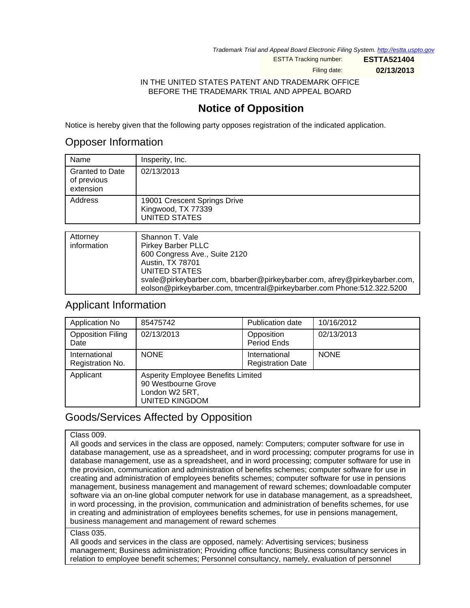Trademark Trial and Appeal Board Electronic Filing System. <http://estta.uspto.gov>

ESTTA Tracking number: **ESTTA521404**

Filing date: **02/13/2013**

IN THE UNITED STATES PATENT AND TRADEMARK OFFICE BEFORE THE TRADEMARK TRIAL AND APPEAL BOARD

# **Notice of Opposition**

Notice is hereby given that the following party opposes registration of the indicated application.

### Opposer Information

| Name                                               | Insperity, Inc.                                                            |
|----------------------------------------------------|----------------------------------------------------------------------------|
| <b>Granted to Date</b><br>of previous<br>extension | 02/13/2013                                                                 |
| Address                                            | 19001 Crescent Springs Drive<br>Kingwood, TX 77339<br><b>UNITED STATES</b> |
|                                                    |                                                                            |
| Attorney<br>$\sim$ $\sim$ $\sim$ $\sim$ $\sim$     | Shannon T. Vale<br>.                                                       |

| <b>Alloniey</b> | Shahhon L.Vale                                                            |
|-----------------|---------------------------------------------------------------------------|
| information     | <b>Pirkey Barber PLLC</b>                                                 |
|                 | 600 Congress Ave., Suite 2120                                             |
|                 | Austin, TX 78701                                                          |
|                 | UNITED STATES                                                             |
|                 | svale@pirkeybarber.com, bbarber@pirkeybarber.com, afrey@pirkeybarber.com, |
|                 | eolson@pirkeybarber.com, tmcentral@pirkeybarber.com Phone:512.322.5200    |

### Applicant Information

| Application No                    | 85475742                                                                                                    | Publication date                          | 10/16/2012  |
|-----------------------------------|-------------------------------------------------------------------------------------------------------------|-------------------------------------------|-------------|
| <b>Opposition Filing</b><br>Date  | 02/13/2013                                                                                                  | Opposition<br>Period Ends                 | 02/13/2013  |
| International<br>Registration No. | <b>NONE</b>                                                                                                 | International<br><b>Registration Date</b> | <b>NONE</b> |
| Applicant                         | <b>Asperity Employee Benefits Limited</b><br>90 Westbourne Grove<br>London W2 5RT,<br><b>UNITED KINGDOM</b> |                                           |             |

## Goods/Services Affected by Opposition

#### Class 009.

All goods and services in the class are opposed, namely: Computers; computer software for use in database management, use as a spreadsheet, and in word processing; computer programs for use in database management, use as a spreadsheet, and in word processing; computer software for use in the provision, communication and administration of benefits schemes; computer software for use in creating and administration of employees benefits schemes; computer software for use in pensions management, business management and management of reward schemes; downloadable computer software via an on-line global computer network for use in database management, as a spreadsheet, in word processing, in the provision, communication and administration of benefits schemes, for use in creating and administration of employees benefits schemes, for use in pensions management, business management and management of reward schemes

Class 035.

All goods and services in the class are opposed, namely: Advertising services; business management; Business administration; Providing office functions; Business consultancy services in relation to employee benefit schemes; Personnel consultancy, namely, evaluation of personnel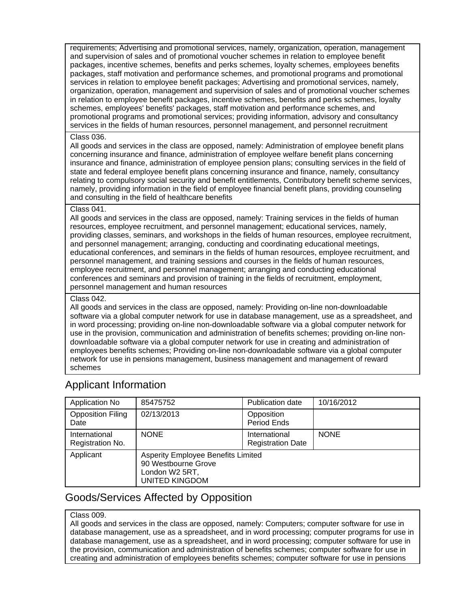requirements; Advertising and promotional services, namely, organization, operation, management and supervision of sales and of promotional voucher schemes in relation to employee benefit packages, incentive schemes, benefits and perks schemes, loyalty schemes, employees benefits packages, staff motivation and performance schemes, and promotional programs and promotional services in relation to employee benefit packages; Advertising and promotional services, namely, organization, operation, management and supervision of sales and of promotional voucher schemes in relation to employee benefit packages, incentive schemes, benefits and perks schemes, loyalty schemes, employees' benefits' packages, staff motivation and performance schemes, and promotional programs and promotional services; providing information, advisory and consultancy services in the fields of human resources, personnel management, and personnel recruitment

#### Class 036.

All goods and services in the class are opposed, namely: Administration of employee benefit plans concerning insurance and finance, administration of employee welfare benefit plans concerning insurance and finance, administration of employee pension plans; consulting services in the field of state and federal employee benefit plans concerning insurance and finance, namely, consultancy relating to compulsory social security and benefit entitlements, Contributory benefit scheme services, namely, providing information in the field of employee financial benefit plans, providing counseling and consulting in the field of healthcare benefits

#### Class 041.

All goods and services in the class are opposed, namely: Training services in the fields of human resources, employee recruitment, and personnel management; educational services, namely, providing classes, seminars, and workshops in the fields of human resources, employee recruitment, and personnel management; arranging, conducting and coordinating educational meetings, educational conferences, and seminars in the fields of human resources, employee recruitment, and personnel management, and training sessions and courses in the fields of human resources, employee recruitment, and personnel management; arranging and conducting educational conferences and seminars and provision of training in the fields of recruitment, employment, personnel management and human resources

#### Class 042.

All goods and services in the class are opposed, namely: Providing on-line non-downloadable software via a global computer network for use in database management, use as a spreadsheet, and in word processing; providing on-line non-downloadable software via a global computer network for use in the provision, communication and administration of benefits schemes; providing on-line nondownloadable software via a global computer network for use in creating and administration of employees benefits schemes; Providing on-line non-downloadable software via a global computer network for use in pensions management, business management and management of reward schemes

## Applicant Information

| Application No                    | 85475752                                                                                                    | <b>Publication date</b>                   | 10/16/2012  |
|-----------------------------------|-------------------------------------------------------------------------------------------------------------|-------------------------------------------|-------------|
| <b>Opposition Filing</b><br>Date  | 02/13/2013                                                                                                  | Opposition<br>Period Ends                 |             |
| International<br>Registration No. | <b>NONE</b>                                                                                                 | International<br><b>Registration Date</b> | <b>NONE</b> |
| Applicant                         | <b>Asperity Employee Benefits Limited</b><br>90 Westbourne Grove<br>London W2 5RT,<br><b>UNITED KINGDOM</b> |                                           |             |

## Goods/Services Affected by Opposition

#### Class 009.

All goods and services in the class are opposed, namely: Computers; computer software for use in database management, use as a spreadsheet, and in word processing; computer programs for use in database management, use as a spreadsheet, and in word processing; computer software for use in the provision, communication and administration of benefits schemes; computer software for use in creating and administration of employees benefits schemes; computer software for use in pensions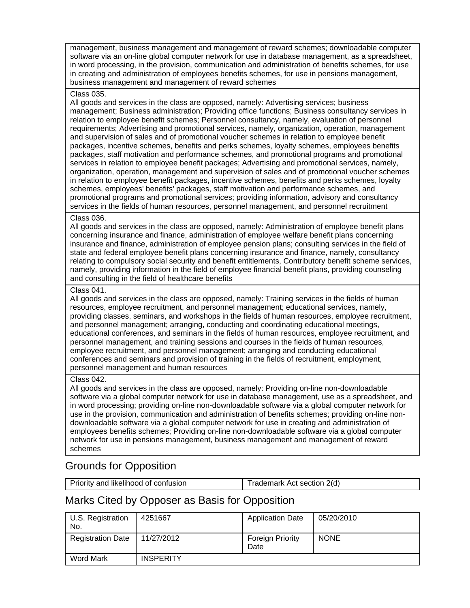management, business management and management of reward schemes; downloadable computer software via an on-line global computer network for use in database management, as a spreadsheet, in word processing, in the provision, communication and administration of benefits schemes, for use in creating and administration of employees benefits schemes, for use in pensions management, business management and management of reward schemes

#### Class 035.

All goods and services in the class are opposed, namely: Advertising services; business management; Business administration; Providing office functions; Business consultancy services in relation to employee benefit schemes; Personnel consultancy, namely, evaluation of personnel requirements; Advertising and promotional services, namely, organization, operation, management and supervision of sales and of promotional voucher schemes in relation to employee benefit packages, incentive schemes, benefits and perks schemes, loyalty schemes, employees benefits packages, staff motivation and performance schemes, and promotional programs and promotional services in relation to employee benefit packages; Advertising and promotional services, namely, organization, operation, management and supervision of sales and of promotional voucher schemes in relation to employee benefit packages, incentive schemes, benefits and perks schemes, loyalty schemes, employees' benefits' packages, staff motivation and performance schemes, and promotional programs and promotional services; providing information, advisory and consultancy services in the fields of human resources, personnel management, and personnel recruitment

#### Class 036.

All goods and services in the class are opposed, namely: Administration of employee benefit plans concerning insurance and finance, administration of employee welfare benefit plans concerning insurance and finance, administration of employee pension plans; consulting services in the field of state and federal employee benefit plans concerning insurance and finance, namely, consultancy relating to compulsory social security and benefit entitlements, Contributory benefit scheme services, namely, providing information in the field of employee financial benefit plans, providing counseling and consulting in the field of healthcare benefits

#### Class 041.

All goods and services in the class are opposed, namely: Training services in the fields of human resources, employee recruitment, and personnel management; educational services, namely, providing classes, seminars, and workshops in the fields of human resources, employee recruitment, and personnel management; arranging, conducting and coordinating educational meetings, educational conferences, and seminars in the fields of human resources, employee recruitment, and personnel management, and training sessions and courses in the fields of human resources, employee recruitment, and personnel management; arranging and conducting educational conferences and seminars and provision of training in the fields of recruitment, employment, personnel management and human resources

#### Class 042.

All goods and services in the class are opposed, namely: Providing on-line non-downloadable software via a global computer network for use in database management, use as a spreadsheet, and in word processing; providing on-line non-downloadable software via a global computer network for use in the provision, communication and administration of benefits schemes; providing on-line nondownloadable software via a global computer network for use in creating and administration of employees benefits schemes; Providing on-line non-downloadable software via a global computer network for use in pensions management, business management and management of reward schemes

## Grounds for Opposition

| Priority and likelihood of confusion | Trademark Act section 2(d) |
|--------------------------------------|----------------------------|
|--------------------------------------|----------------------------|

### Marks Cited by Opposer as Basis for Opposition

| U.S. Registration<br>No. | 4251667          | <b>Application Date</b>         | 05/20/2010  |
|--------------------------|------------------|---------------------------------|-------------|
| <b>Registration Date</b> | 11/27/2012       | <b>Foreign Priority</b><br>Date | <b>NONE</b> |
| Word Mark                | <b>INSPERITY</b> |                                 |             |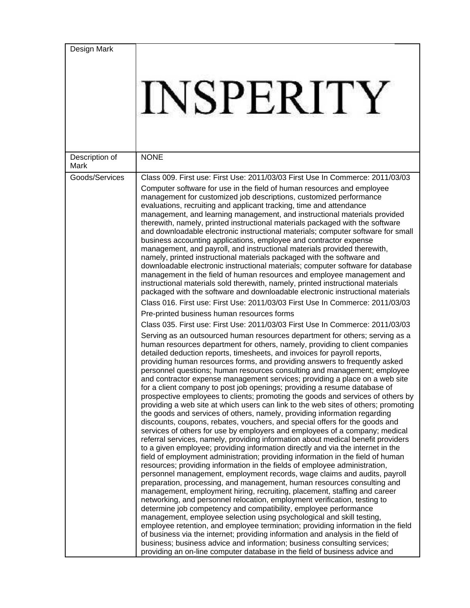| Design Mark            |                                                                                                                                                                                                                                                                                                                                                                                                                                                                                                                                                                                                                                                                                                                                                                                                                                                                                                                                                                                                                                                                                                                                                                                                                                                                                                                                                                                                                                                                                                                                                                                                                                                                                                                                                                                                                                                                                                                                                                                                                                                                                                                                                                                                                                                                                                                                                                                                                                                                                                                                                                                                                                                                                                                                                                                                                                                                                                                                                                                                                                                                                                                                                                                                                                                                                                                                                                                       |
|------------------------|---------------------------------------------------------------------------------------------------------------------------------------------------------------------------------------------------------------------------------------------------------------------------------------------------------------------------------------------------------------------------------------------------------------------------------------------------------------------------------------------------------------------------------------------------------------------------------------------------------------------------------------------------------------------------------------------------------------------------------------------------------------------------------------------------------------------------------------------------------------------------------------------------------------------------------------------------------------------------------------------------------------------------------------------------------------------------------------------------------------------------------------------------------------------------------------------------------------------------------------------------------------------------------------------------------------------------------------------------------------------------------------------------------------------------------------------------------------------------------------------------------------------------------------------------------------------------------------------------------------------------------------------------------------------------------------------------------------------------------------------------------------------------------------------------------------------------------------------------------------------------------------------------------------------------------------------------------------------------------------------------------------------------------------------------------------------------------------------------------------------------------------------------------------------------------------------------------------------------------------------------------------------------------------------------------------------------------------------------------------------------------------------------------------------------------------------------------------------------------------------------------------------------------------------------------------------------------------------------------------------------------------------------------------------------------------------------------------------------------------------------------------------------------------------------------------------------------------------------------------------------------------------------------------------------------------------------------------------------------------------------------------------------------------------------------------------------------------------------------------------------------------------------------------------------------------------------------------------------------------------------------------------------------------------------------------------------------------------------------------------------------------|
|                        | <b>INSPERITY</b>                                                                                                                                                                                                                                                                                                                                                                                                                                                                                                                                                                                                                                                                                                                                                                                                                                                                                                                                                                                                                                                                                                                                                                                                                                                                                                                                                                                                                                                                                                                                                                                                                                                                                                                                                                                                                                                                                                                                                                                                                                                                                                                                                                                                                                                                                                                                                                                                                                                                                                                                                                                                                                                                                                                                                                                                                                                                                                                                                                                                                                                                                                                                                                                                                                                                                                                                                                      |
| Description of<br>Mark | <b>NONE</b>                                                                                                                                                                                                                                                                                                                                                                                                                                                                                                                                                                                                                                                                                                                                                                                                                                                                                                                                                                                                                                                                                                                                                                                                                                                                                                                                                                                                                                                                                                                                                                                                                                                                                                                                                                                                                                                                                                                                                                                                                                                                                                                                                                                                                                                                                                                                                                                                                                                                                                                                                                                                                                                                                                                                                                                                                                                                                                                                                                                                                                                                                                                                                                                                                                                                                                                                                                           |
| Goods/Services         | Class 009. First use: First Use: 2011/03/03 First Use In Commerce: 2011/03/03<br>Computer software for use in the field of human resources and employee<br>management for customized job descriptions, customized performance<br>evaluations, recruiting and applicant tracking, time and attendance<br>management, and learning management, and instructional materials provided<br>therewith, namely, printed instructional materials packaged with the software<br>and downloadable electronic instructional materials; computer software for small<br>business accounting applications, employee and contractor expense<br>management, and payroll, and instructional materials provided therewith,<br>namely, printed instructional materials packaged with the software and<br>downloadable electronic instructional materials; computer software for database<br>management in the field of human resources and employee management and<br>instructional materials sold therewith, namely, printed instructional materials<br>packaged with the software and downloadable electronic instructional materials<br>Class 016. First use: First Use: 2011/03/03 First Use In Commerce: 2011/03/03<br>Pre-printed business human resources forms<br>Class 035. First use: First Use: 2011/03/03 First Use In Commerce: 2011/03/03<br>Serving as an outsourced human resources department for others; serving as a<br>human resources department for others, namely, providing to client companies<br>detailed deduction reports, timesheets, and invoices for payroll reports,<br>providing human resources forms, and providing answers to frequently asked<br>personnel questions; human resources consulting and management; employee<br>and contractor expense management services; providing a place on a web site<br>for a client company to post job openings; providing a resume database of<br>prospective employees to clients; promoting the goods and services of others by<br>providing a web site at which users can link to the web sites of others; promoting<br>the goods and services of others, namely, providing information regarding<br>discounts, coupons, rebates, vouchers, and special offers for the goods and<br>services of others for use by employers and employees of a company; medical<br>referral services, namely, providing information about medical benefit providers<br>to a given employee; providing information directly and via the internet in the<br>field of employment administration; providing information in the field of human<br>resources; providing information in the fields of employee administration,<br>personnel management, employment records, wage claims and audits, payroll<br>preparation, processing, and management, human resources consulting and<br>management, employment hiring, recruiting, placement, staffing and career<br>networking, and personnel relocation, employment verification, testing to<br>determine job competency and compatibility, employee performance<br>management, employee selection using psychological and skill testing,<br>employee retention, and employee termination; providing information in the field<br>of business via the internet; providing information and analysis in the field of<br>business; business advice and information; business consulting services; |
|                        | providing an on-line computer database in the field of business advice and                                                                                                                                                                                                                                                                                                                                                                                                                                                                                                                                                                                                                                                                                                                                                                                                                                                                                                                                                                                                                                                                                                                                                                                                                                                                                                                                                                                                                                                                                                                                                                                                                                                                                                                                                                                                                                                                                                                                                                                                                                                                                                                                                                                                                                                                                                                                                                                                                                                                                                                                                                                                                                                                                                                                                                                                                                                                                                                                                                                                                                                                                                                                                                                                                                                                                                            |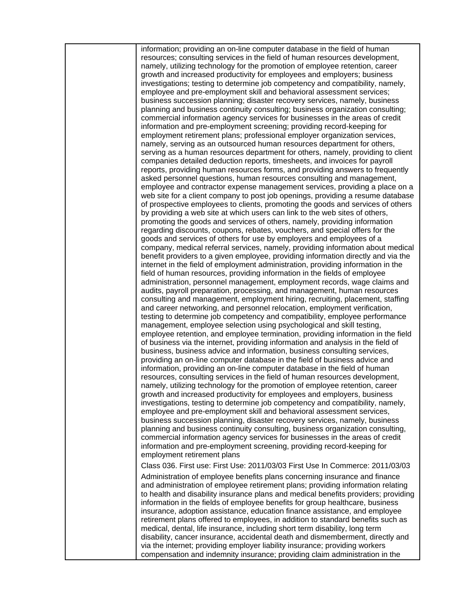information; providing an on-line computer database in the field of human resources; consulting services in the field of human resources development, namely, utilizing technology for the promotion of employee retention, career growth and increased productivity for employees and employers; business investigations; testing to determine job competency and compatibility, namely, employee and pre-employment skill and behavioral assessment services; business succession planning; disaster recovery services, namely, business planning and business continuity consulting; business organization consulting; commercial information agency services for businesses in the areas of credit information and pre-employment screening; providing record-keeping for employment retirement plans; professional employer organization services, namely, serving as an outsourced human resources department for others, serving as a human resources department for others, namely, providing to client companies detailed deduction reports, timesheets, and invoices for payroll reports, providing human resources forms, and providing answers to frequently asked personnel questions, human resources consulting and management, employee and contractor expense management services, providing a place on a web site for a client company to post job openings, providing a resume database of prospective employees to clients, promoting the goods and services of others by providing a web site at which users can link to the web sites of others, promoting the goods and services of others, namely, providing information regarding discounts, coupons, rebates, vouchers, and special offers for the goods and services of others for use by employers and employees of a company, medical referral services, namely, providing information about medical benefit providers to a given employee, providing information directly and via the internet in the field of employment administration, providing information in the field of human resources, providing information in the fields of employee administration, personnel management, employment records, wage claims and audits, payroll preparation, processing, and management, human resources consulting and management, employment hiring, recruiting, placement, staffing and career networking, and personnel relocation, employment verification, testing to determine job competency and compatibility, employee performance management, employee selection using psychological and skill testing, employee retention, and employee termination, providing information in the field of business via the internet, providing information and analysis in the field of business, business advice and information, business consulting services, providing an on-line computer database in the field of business advice and information, providing an on-line computer database in the field of human resources, consulting services in the field of human resources development, namely, utilizing technology for the promotion of employee retention, career growth and increased productivity for employees and employers, business investigations, testing to determine job competency and compatibility, namely, employee and pre-employment skill and behavioral assessment services, business succession planning, disaster recovery services, namely, business planning and business continuity consulting, business organization consulting, commercial information agency services for businesses in the areas of credit information and pre-employment screening, providing record-keeping for employment retirement plans Class 036. First use: First Use: 2011/03/03 First Use In Commerce: 2011/03/03 Administration of employee benefits plans concerning insurance and finance and administration of employee retirement plans; providing information relating to health and disability insurance plans and medical benefits providers; providing information in the fields of employee benefits for group healthcare, business insurance, adoption assistance, education finance assistance, and employee retirement plans offered to employees, in addition to standard benefits such as medical, dental, life insurance, including short term disability, long term

disability, cancer insurance, accidental death and dismemberment, directly and via the internet; providing employer liability insurance; providing workers compensation and indemnity insurance; providing claim administration in the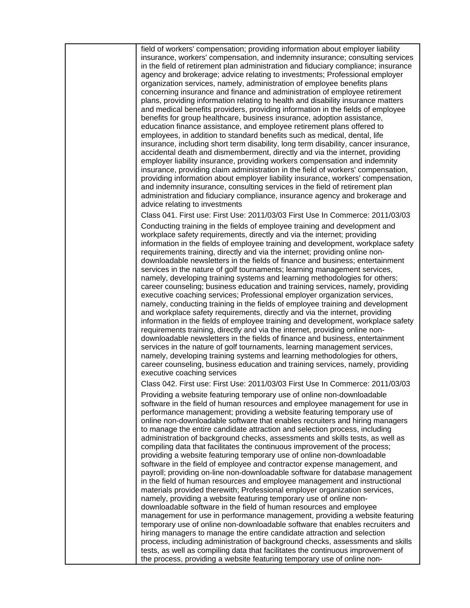field of workers' compensation; providing information about employer liability insurance, workers' compensation, and indemnity insurance; consulting services in the field of retirement plan administration and fiduciary compliance; insurance agency and brokerage; advice relating to investments; Professional employer organization services, namely, administration of employee benefits plans concerning insurance and finance and administration of employee retirement plans, providing information relating to health and disability insurance matters and medical benefits providers, providing information in the fields of employee benefits for group healthcare, business insurance, adoption assistance, education finance assistance, and employee retirement plans offered to employees, in addition to standard benefits such as medical, dental, life insurance, including short term disability, long term disability, cancer insurance, accidental death and dismemberment, directly and via the internet, providing employer liability insurance, providing workers compensation and indemnity insurance, providing claim administration in the field of workers' compensation, providing information about employer liability insurance, workers' compensation, and indemnity insurance, consulting services in the field of retirement plan administration and fiduciary compliance, insurance agency and brokerage and advice relating to investments

Class 041. First use: First Use: 2011/03/03 First Use In Commerce: 2011/03/03 Conducting training in the fields of employee training and development and workplace safety requirements, directly and via the internet; providing information in the fields of employee training and development, workplace safety requirements training, directly and via the internet; providing online nondownloadable newsletters in the fields of finance and business; entertainment services in the nature of golf tournaments; learning management services, namely, developing training systems and learning methodologies for others; career counseling; business education and training services, namely, providing executive coaching services; Professional employer organization services, namely, conducting training in the fields of employee training and development and workplace safety requirements, directly and via the internet, providing information in the fields of employee training and development, workplace safety requirements training, directly and via the internet, providing online nondownloadable newsletters in the fields of finance and business, entertainment services in the nature of golf tournaments, learning management services, namely, developing training systems and learning methodologies for others, career counseling, business education and training services, namely, providing executive coaching services

Class 042. First use: First Use: 2011/03/03 First Use In Commerce: 2011/03/03

Providing a website featuring temporary use of online non-downloadable software in the field of human resources and employee management for use in performance management; providing a website featuring temporary use of online non-downloadable software that enables recruiters and hiring managers to manage the entire candidate attraction and selection process, including administration of background checks, assessments and skills tests, as well as compiling data that facilitates the continuous improvement of the process; providing a website featuring temporary use of online non-downloadable software in the field of employee and contractor expense management, and payroll; providing on-line non-downloadable software for database management in the field of human resources and employee management and instructional materials provided therewith; Professional employer organization services, namely, providing a website featuring temporary use of online nondownloadable software in the field of human resources and employee management for use in performance management, providing a website featuring temporary use of online non-downloadable software that enables recruiters and hiring managers to manage the entire candidate attraction and selection process, including administration of background checks, assessments and skills tests, as well as compiling data that facilitates the continuous improvement of the process, providing a website featuring temporary use of online non-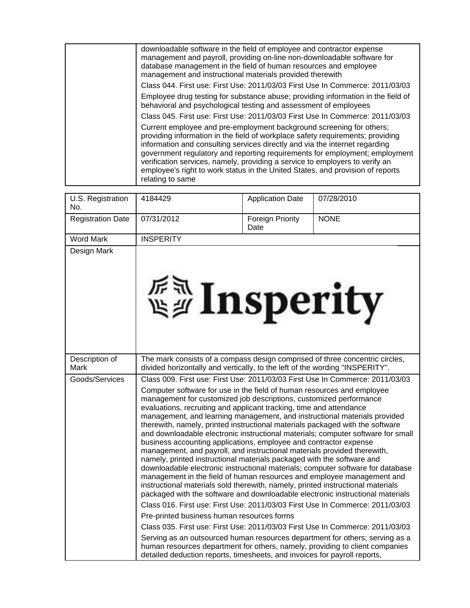| downloadable software in the field of employee and contractor expense<br>management and payroll, providing on-line non-downloadable software for<br>database management in the field of human resources and employee<br>management and instructional materials provided therewith                                                                                                                                                                                                                          |
|------------------------------------------------------------------------------------------------------------------------------------------------------------------------------------------------------------------------------------------------------------------------------------------------------------------------------------------------------------------------------------------------------------------------------------------------------------------------------------------------------------|
| Class 044. First use: First Use: 2011/03/03 First Use In Commerce: 2011/03/03                                                                                                                                                                                                                                                                                                                                                                                                                              |
| Employee drug testing for substance abuse; providing information in the field of<br>behavioral and psychological testing and assessment of employees                                                                                                                                                                                                                                                                                                                                                       |
| Class 045. First use: First Use: 2011/03/03 First Use In Commerce: 2011/03/03                                                                                                                                                                                                                                                                                                                                                                                                                              |
| Current employee and pre-employment background screening for others;<br>providing information in the field of workplace safety requirements; providing<br>information and consulting services directly and via the internet regarding<br>government regulatory and reporting requirements for employment; employment<br>verification services, namely, providing a service to employers to verify an<br>employee's right to work status in the United States, and provision of reports<br>relating to same |

| U.S. Registration<br>No. | 4184429                                                                                                                                                                                                                                                                                                                                                                                                                                                                                                                                                                                                                                                                                                                                                                                                                                                                                                                                                                                                                                                                                                                                                                                                                                                                                                                                                                                                                                                                                                                                                                             | <b>Application Date</b>         | 07/28/2010  |
|--------------------------|-------------------------------------------------------------------------------------------------------------------------------------------------------------------------------------------------------------------------------------------------------------------------------------------------------------------------------------------------------------------------------------------------------------------------------------------------------------------------------------------------------------------------------------------------------------------------------------------------------------------------------------------------------------------------------------------------------------------------------------------------------------------------------------------------------------------------------------------------------------------------------------------------------------------------------------------------------------------------------------------------------------------------------------------------------------------------------------------------------------------------------------------------------------------------------------------------------------------------------------------------------------------------------------------------------------------------------------------------------------------------------------------------------------------------------------------------------------------------------------------------------------------------------------------------------------------------------------|---------------------------------|-------------|
| <b>Registration Date</b> | 07/31/2012                                                                                                                                                                                                                                                                                                                                                                                                                                                                                                                                                                                                                                                                                                                                                                                                                                                                                                                                                                                                                                                                                                                                                                                                                                                                                                                                                                                                                                                                                                                                                                          | <b>Foreign Priority</b><br>Date | <b>NONE</b> |
| <b>Word Mark</b>         | <b>INSPERITY</b>                                                                                                                                                                                                                                                                                                                                                                                                                                                                                                                                                                                                                                                                                                                                                                                                                                                                                                                                                                                                                                                                                                                                                                                                                                                                                                                                                                                                                                                                                                                                                                    |                                 |             |
| Design Mark              | <b>External Insperity</b>                                                                                                                                                                                                                                                                                                                                                                                                                                                                                                                                                                                                                                                                                                                                                                                                                                                                                                                                                                                                                                                                                                                                                                                                                                                                                                                                                                                                                                                                                                                                                           |                                 |             |
| Description of<br>Mark   | The mark consists of a compass design comprised of three concentric circles,                                                                                                                                                                                                                                                                                                                                                                                                                                                                                                                                                                                                                                                                                                                                                                                                                                                                                                                                                                                                                                                                                                                                                                                                                                                                                                                                                                                                                                                                                                        |                                 |             |
| Goods/Services           | divided horizontally and vertically, to the left of the wording "INSPERITY".<br>Class 009. First use: First Use: 2011/03/03 First Use In Commerce: 2011/03/03<br>Computer software for use in the field of human resources and employee<br>management for customized job descriptions, customized performance<br>evaluations, recruiting and applicant tracking, time and attendance<br>management, and learning management, and instructional materials provided<br>therewith, namely, printed instructional materials packaged with the software<br>and downloadable electronic instructional materials; computer software for small<br>business accounting applications, employee and contractor expense<br>management, and payroll, and instructional materials provided therewith,<br>namely, printed instructional materials packaged with the software and<br>downloadable electronic instructional materials; computer software for database<br>management in the field of human resources and employee management and<br>instructional materials sold therewith, namely, printed instructional materials<br>packaged with the software and downloadable electronic instructional materials<br>Class 016. First use: First Use: 2011/03/03 First Use In Commerce: 2011/03/03<br>Pre-printed business human resources forms<br>Class 035. First use: First Use: 2011/03/03 First Use In Commerce: 2011/03/03<br>Serving as an outsourced human resources department for others; serving as a<br>human resources department for others, namely, providing to client companies |                                 |             |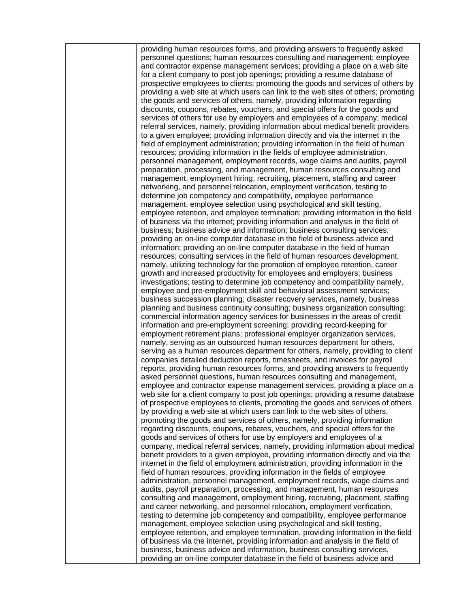providing human resources forms, and providing answers to frequently asked personnel questions; human resources consulting and management; employee and contractor expense management services; providing a place on a web site for a client company to post job openings; providing a resume database of prospective employees to clients; promoting the goods and services of others by providing a web site at which users can link to the web sites of others; promoting the goods and services of others, namely, providing information regarding discounts, coupons, rebates, vouchers, and special offers for the goods and services of others for use by employers and employees of a company; medical referral services, namely, providing information about medical benefit providers to a given employee; providing information directly and via the internet in the field of employment administration; providing information in the field of human resources; providing information in the fields of employee administration, personnel management, employment records, wage claims and audits, payroll preparation, processing, and management, human resources consulting and management, employment hiring, recruiting, placement, staffing and career networking, and personnel relocation, employment verification, testing to determine job competency and compatibility, employee performance management, employee selection using psychological and skill testing, employee retention, and employee termination; providing information in the field of business via the internet; providing information and analysis in the field of business; business advice and information; business consulting services; providing an on-line computer database in the field of business advice and information; providing an on-line computer database in the field of human resources; consulting services in the field of human resources development, namely, utilizing technology for the promotion of employee retention, career growth and increased productivity for employees and employers; business investigations; testing to determine job competency and compatibility namely, employee and pre-employment skill and behavioral assessment services; business succession planning; disaster recovery services, namely, business planning and business continuity consulting; business organization consulting; commercial information agency services for businesses in the areas of credit information and pre-employment screening; providing record-keeping for employment retirement plans; professional employer organization services, namely, serving as an outsourced human resources department for others, serving as a human resources department for others, namely, providing to client companies detailed deduction reports, timesheets, and invoices for payroll reports, providing human resources forms, and providing answers to frequently asked personnel questions, human resources consulting and management, employee and contractor expense management services, providing a place on a web site for a client company to post job openings; providing a resume database of prospective employees to clients, promoting the goods and services of others by providing a web site at which users can link to the web sites of others, promoting the goods and services of others, namely, providing information regarding discounts, coupons, rebates, vouchers, and special offers for the goods and services of others for use by employers and employees of a company, medical referral services, namely, providing information about medical benefit providers to a given employee, providing information directly and via the internet in the field of employment administration, providing information in the field of human resources, providing information in the fields of employee administration, personnel management, employment records, wage claims and audits, payroll preparation, processing, and management, human resources consulting and management, employment hiring, recruiting, placement, staffing and career networking, and personnel relocation, employment verification, testing to determine job competency and compatibility, employee performance management, employee selection using psychological and skill testing, employee retention, and employee termination, providing information in the field of business via the internet, providing information and analysis in the field of business, business advice and information, business consulting services, providing an on-line computer database in the field of business advice and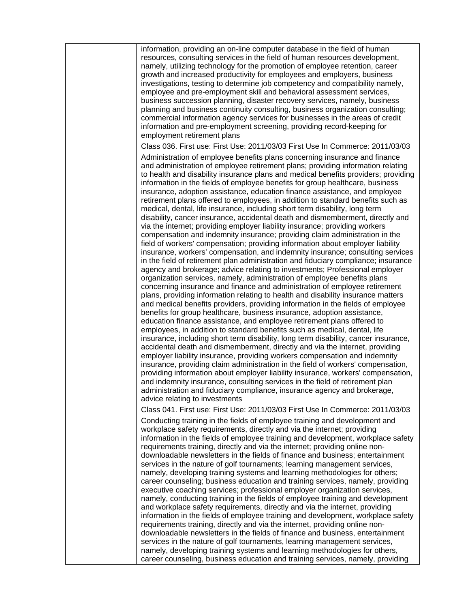| information, providing an on-line computer database in the field of human<br>resources, consulting services in the field of human resources development,<br>namely, utilizing technology for the promotion of employee retention, career<br>growth and increased productivity for employees and employers, business<br>investigations, testing to determine job competency and compatibility namely,<br>employee and pre-employment skill and behavioral assessment services,<br>business succession planning, disaster recovery services, namely, business<br>planning and business continuity consulting, business organization consulting;<br>commercial information agency services for businesses in the areas of credit<br>information and pre-employment screening, providing record-keeping for<br>employment retirement plans                                                                                                                                                                                                                                                                                                                                                                                                                                                                                                                                                                                                                                                                                                                                                                                                                                                                                                                                                                                                                                                                                                                                                                                                                                                                                                                                                                                                                        |
|---------------------------------------------------------------------------------------------------------------------------------------------------------------------------------------------------------------------------------------------------------------------------------------------------------------------------------------------------------------------------------------------------------------------------------------------------------------------------------------------------------------------------------------------------------------------------------------------------------------------------------------------------------------------------------------------------------------------------------------------------------------------------------------------------------------------------------------------------------------------------------------------------------------------------------------------------------------------------------------------------------------------------------------------------------------------------------------------------------------------------------------------------------------------------------------------------------------------------------------------------------------------------------------------------------------------------------------------------------------------------------------------------------------------------------------------------------------------------------------------------------------------------------------------------------------------------------------------------------------------------------------------------------------------------------------------------------------------------------------------------------------------------------------------------------------------------------------------------------------------------------------------------------------------------------------------------------------------------------------------------------------------------------------------------------------------------------------------------------------------------------------------------------------------------------------------------------------------------------------------------------------|
| Class 036. First use: First Use: 2011/03/03 First Use In Commerce: 2011/03/03                                                                                                                                                                                                                                                                                                                                                                                                                                                                                                                                                                                                                                                                                                                                                                                                                                                                                                                                                                                                                                                                                                                                                                                                                                                                                                                                                                                                                                                                                                                                                                                                                                                                                                                                                                                                                                                                                                                                                                                                                                                                                                                                                                                 |
| Administration of employee benefits plans concerning insurance and finance<br>and administration of employee retirement plans; providing information relating<br>to health and disability insurance plans and medical benefits providers; providing<br>information in the fields of employee benefits for group healthcare, business<br>insurance, adoption assistance, education finance assistance, and employee<br>retirement plans offered to employees, in addition to standard benefits such as<br>medical, dental, life insurance, including short term disability, long term<br>disability, cancer insurance, accidental death and dismemberment, directly and<br>via the internet; providing employer liability insurance; providing workers<br>compensation and indemnity insurance; providing claim administration in the<br>field of workers' compensation; providing information about employer liability<br>insurance, workers' compensation, and indemnity insurance; consulting services<br>in the field of retirement plan administration and fiduciary compliance; insurance<br>agency and brokerage; advice relating to investments; Professional employer<br>organization services, namely, administration of employee benefits plans<br>concerning insurance and finance and administration of employee retirement<br>plans, providing information relating to health and disability insurance matters<br>and medical benefits providers, providing information in the fields of employee<br>benefits for group healthcare, business insurance, adoption assistance,<br>education finance assistance, and employee retirement plans offered to<br>employees, in addition to standard benefits such as medical, dental, life<br>insurance, including short term disability, long term disability, cancer insurance,<br>accidental death and dismemberment, directly and via the internet, providing<br>employer liability insurance, providing workers compensation and indemnity<br>insurance, providing claim administration in the field of workers' compensation,<br>providing information about employer liability insurance, workers' compensation,<br>and indemnity insurance, consulting services in the field of retirement plan |
| administration and fiduciary compliance, insurance agency and brokerage,                                                                                                                                                                                                                                                                                                                                                                                                                                                                                                                                                                                                                                                                                                                                                                                                                                                                                                                                                                                                                                                                                                                                                                                                                                                                                                                                                                                                                                                                                                                                                                                                                                                                                                                                                                                                                                                                                                                                                                                                                                                                                                                                                                                      |
| advice relating to investments<br>Class 041. First use: First Use: 2011/03/03 First Use In Commerce: 2011/03/03                                                                                                                                                                                                                                                                                                                                                                                                                                                                                                                                                                                                                                                                                                                                                                                                                                                                                                                                                                                                                                                                                                                                                                                                                                                                                                                                                                                                                                                                                                                                                                                                                                                                                                                                                                                                                                                                                                                                                                                                                                                                                                                                               |
| Conducting training in the fields of employee training and development and<br>workplace safety requirements, directly and via the internet; providing<br>information in the fields of employee training and development, workplace safety<br>requirements training, directly and via the internet; providing online non-<br>downloadable newsletters in the fields of finance and business; entertainment<br>services in the nature of golf tournaments; learning management services,<br>namely, developing training systems and learning methodologies for others;<br>career counseling; business education and training services, namely, providing<br>executive coaching services; professional employer organization services,<br>namely, conducting training in the fields of employee training and development<br>and workplace safety requirements, directly and via the internet, providing<br>information in the fields of employee training and development, workplace safety<br>requirements training, directly and via the internet, providing online non-<br>downloadable newsletters in the fields of finance and business, entertainment<br>services in the nature of golf tournaments, learning management services,<br>namely, developing training systems and learning methodologies for others,                                                                                                                                                                                                                                                                                                                                                                                                                                                                                                                                                                                                                                                                                                                                                                                                                                                                                                                                           |
| career counseling, business education and training services, namely, providing                                                                                                                                                                                                                                                                                                                                                                                                                                                                                                                                                                                                                                                                                                                                                                                                                                                                                                                                                                                                                                                                                                                                                                                                                                                                                                                                                                                                                                                                                                                                                                                                                                                                                                                                                                                                                                                                                                                                                                                                                                                                                                                                                                                |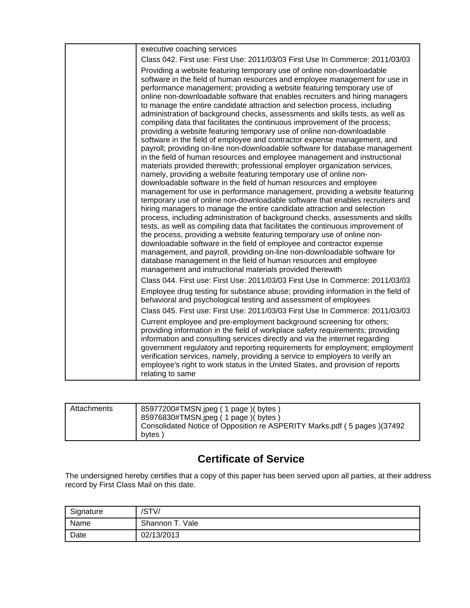| executive coaching services                                                                                                                                                                                                                                                                                                                                                                                                                                                                                                                                                                                                                                                                                                                                                                                                                                                                                                                                                                                                                                                                                                                                                                                                                                                                                                                                                                                                                                                                                                                                                                                                                                                                                                                                                                                                                                                                                                                                                 |
|-----------------------------------------------------------------------------------------------------------------------------------------------------------------------------------------------------------------------------------------------------------------------------------------------------------------------------------------------------------------------------------------------------------------------------------------------------------------------------------------------------------------------------------------------------------------------------------------------------------------------------------------------------------------------------------------------------------------------------------------------------------------------------------------------------------------------------------------------------------------------------------------------------------------------------------------------------------------------------------------------------------------------------------------------------------------------------------------------------------------------------------------------------------------------------------------------------------------------------------------------------------------------------------------------------------------------------------------------------------------------------------------------------------------------------------------------------------------------------------------------------------------------------------------------------------------------------------------------------------------------------------------------------------------------------------------------------------------------------------------------------------------------------------------------------------------------------------------------------------------------------------------------------------------------------------------------------------------------------|
| Class 042. First use: First Use: 2011/03/03 First Use In Commerce: 2011/03/03                                                                                                                                                                                                                                                                                                                                                                                                                                                                                                                                                                                                                                                                                                                                                                                                                                                                                                                                                                                                                                                                                                                                                                                                                                                                                                                                                                                                                                                                                                                                                                                                                                                                                                                                                                                                                                                                                               |
| Providing a website featuring temporary use of online non-downloadable<br>software in the field of human resources and employee management for use in<br>performance management; providing a website featuring temporary use of<br>online non-downloadable software that enables recruiters and hiring managers<br>to manage the entire candidate attraction and selection process, including<br>administration of background checks, assessments and skills tests, as well as<br>compiling data that facilitates the continuous improvement of the process;<br>providing a website featuring temporary use of online non-downloadable<br>software in the field of employee and contractor expense management, and<br>payroll; providing on-line non-downloadable software for database management<br>in the field of human resources and employee management and instructional<br>materials provided therewith; professional employer organization services,<br>namely, providing a website featuring temporary use of online non-<br>downloadable software in the field of human resources and employee<br>management for use in performance management, providing a website featuring<br>temporary use of online non-downloadable software that enables recruiters and<br>hiring managers to manage the entire candidate attraction and selection<br>process, including administration of background checks, assessments and skills<br>tests, as well as compiling data that facilitates the continuous improvement of<br>the process, providing a website featuring temporary use of online non-<br>downloadable software in the field of employee and contractor expense<br>management, and payroll, providing on-line non-downloadable software for<br>database management in the field of human resources and employee<br>management and instructional materials provided therewith<br>Class 044. First use: First Use: 2011/03/03 First Use In Commerce: 2011/03/03 |
|                                                                                                                                                                                                                                                                                                                                                                                                                                                                                                                                                                                                                                                                                                                                                                                                                                                                                                                                                                                                                                                                                                                                                                                                                                                                                                                                                                                                                                                                                                                                                                                                                                                                                                                                                                                                                                                                                                                                                                             |
| Employee drug testing for substance abuse; providing information in the field of<br>behavioral and psychological testing and assessment of employees                                                                                                                                                                                                                                                                                                                                                                                                                                                                                                                                                                                                                                                                                                                                                                                                                                                                                                                                                                                                                                                                                                                                                                                                                                                                                                                                                                                                                                                                                                                                                                                                                                                                                                                                                                                                                        |
| Class 045. First use: First Use: 2011/03/03 First Use In Commerce: 2011/03/03                                                                                                                                                                                                                                                                                                                                                                                                                                                                                                                                                                                                                                                                                                                                                                                                                                                                                                                                                                                                                                                                                                                                                                                                                                                                                                                                                                                                                                                                                                                                                                                                                                                                                                                                                                                                                                                                                               |
| Current employee and pre-employment background screening for others;<br>providing information in the field of workplace safety requirements; providing<br>information and consulting services directly and via the internet regarding<br>government regulatory and reporting requirements for employment; employment<br>verification services, namely, providing a service to employers to verify an<br>employee's right to work status in the United States, and provision of reports<br>relating to same                                                                                                                                                                                                                                                                                                                                                                                                                                                                                                                                                                                                                                                                                                                                                                                                                                                                                                                                                                                                                                                                                                                                                                                                                                                                                                                                                                                                                                                                  |
|                                                                                                                                                                                                                                                                                                                                                                                                                                                                                                                                                                                                                                                                                                                                                                                                                                                                                                                                                                                                                                                                                                                                                                                                                                                                                                                                                                                                                                                                                                                                                                                                                                                                                                                                                                                                                                                                                                                                                                             |

| Attachments | 85977200#TMSN.jpeg (1 page) (bytes)                                     |
|-------------|-------------------------------------------------------------------------|
|             |                                                                         |
|             | 85976830#TMSN.jpeg (1 page) (bytes)                                     |
|             | Consolidated Notice of Opposition re ASPERITY Marks.pdf (5 pages)(37492 |
|             |                                                                         |
|             | bytes                                                                   |
|             |                                                                         |

# **Certificate of Service**

The undersigned hereby certifies that a copy of this paper has been served upon all parties, at their address record by First Class Mail on this date.

| Signature | /STV/           |
|-----------|-----------------|
| Name      | Shannon T. Vale |
| Date      | 02/13/2013      |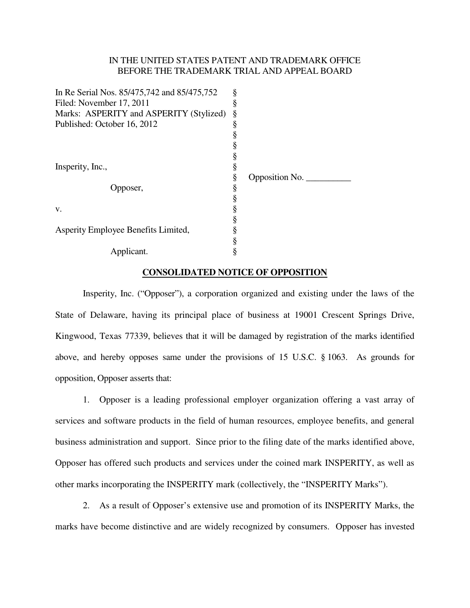### IN THE UNITED STATES PATENT AND TRADEMARK OFFICE BEFORE THE TRADEMARK TRIAL AND APPEAL BOARD

| In Re Serial Nos. 85/475,742 and 85/475,752 | ş      |                                         |
|---------------------------------------------|--------|-----------------------------------------|
| Filed: November 17, 2011                    | §      |                                         |
| Marks: ASPERITY and ASPERITY (Stylized)     |        |                                         |
| Published: October 16, 2012                 |        |                                         |
|                                             | ş      |                                         |
|                                             |        |                                         |
|                                             | §      |                                         |
| Insperity, Inc.,                            |        |                                         |
|                                             | ş<br>§ | Opposition No. $\overline{\phantom{a}}$ |
| Opposer,                                    | §      |                                         |
|                                             | ş      |                                         |
| V.                                          |        |                                         |
|                                             |        |                                         |
| Asperity Employee Benefits Limited,         |        |                                         |
|                                             | §<br>ş |                                         |
| Applicant.                                  | ş      |                                         |
|                                             |        |                                         |

#### **CONSOLIDATED NOTICE OF OPPOSITION**

 Insperity, Inc. ("Opposer"), a corporation organized and existing under the laws of the State of Delaware, having its principal place of business at 19001 Crescent Springs Drive, Kingwood, Texas 77339, believes that it will be damaged by registration of the marks identified above, and hereby opposes same under the provisions of 15 U.S.C. § 1063. As grounds for opposition, Opposer asserts that:

1. Opposer is a leading professional employer organization offering a vast array of services and software products in the field of human resources, employee benefits, and general business administration and support. Since prior to the filing date of the marks identified above, Opposer has offered such products and services under the coined mark INSPERITY, as well as other marks incorporating the INSPERITY mark (collectively, the "INSPERITY Marks").

2. As a result of Opposer's extensive use and promotion of its INSPERITY Marks, the marks have become distinctive and are widely recognized by consumers. Opposer has invested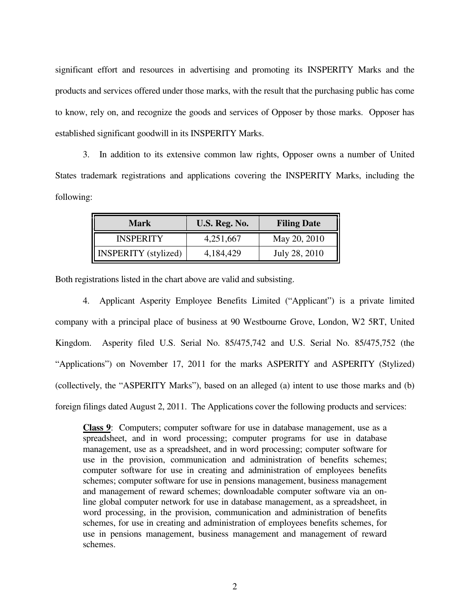significant effort and resources in advertising and promoting its INSPERITY Marks and the products and services offered under those marks, with the result that the purchasing public has come to know, rely on, and recognize the goods and services of Opposer by those marks. Opposer has established significant goodwill in its INSPERITY Marks.

3. In addition to its extensive common law rights, Opposer owns a number of United States trademark registrations and applications covering the INSPERITY Marks, including the following:

| Mark                        | U.S. Reg. No. | <b>Filing Date</b> |
|-----------------------------|---------------|--------------------|
| <b>INSPERITY</b>            | 4,251,667     | May 20, 2010       |
| <b>INSPERITY</b> (stylized) | 4, 184, 429   | July 28, 2010      |

Both registrations listed in the chart above are valid and subsisting.

4. Applicant Asperity Employee Benefits Limited ("Applicant") is a private limited company with a principal place of business at 90 Westbourne Grove, London, W2 5RT, United Kingdom. Asperity filed U.S. Serial No. 85/475,742 and U.S. Serial No. 85/475,752 (the "Applications") on November 17, 2011 for the marks ASPERITY and ASPERITY (Stylized) (collectively, the "ASPERITY Marks"), based on an alleged (a) intent to use those marks and (b) foreign filings dated August 2, 2011. The Applications cover the following products and services:

**Class 9**: Computers; computer software for use in database management, use as a spreadsheet, and in word processing; computer programs for use in database management, use as a spreadsheet, and in word processing; computer software for use in the provision, communication and administration of benefits schemes; computer software for use in creating and administration of employees benefits schemes; computer software for use in pensions management, business management and management of reward schemes; downloadable computer software via an online global computer network for use in database management, as a spreadsheet, in word processing, in the provision, communication and administration of benefits schemes, for use in creating and administration of employees benefits schemes, for use in pensions management, business management and management of reward schemes.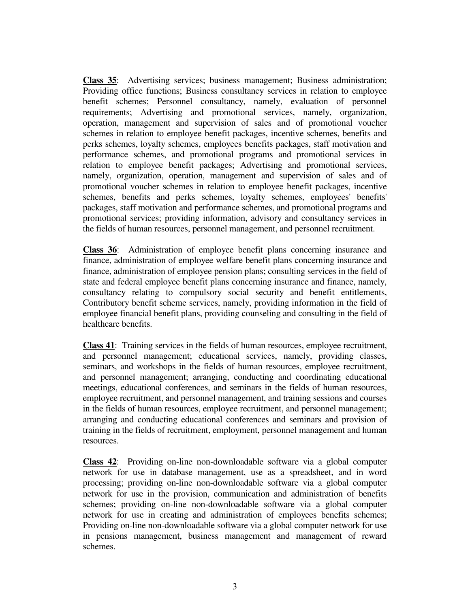**Class 35**: Advertising services; business management; Business administration; Providing office functions; Business consultancy services in relation to employee benefit schemes; Personnel consultancy, namely, evaluation of personnel requirements; Advertising and promotional services, namely, organization, operation, management and supervision of sales and of promotional voucher schemes in relation to employee benefit packages, incentive schemes, benefits and perks schemes, loyalty schemes, employees benefits packages, staff motivation and performance schemes, and promotional programs and promotional services in relation to employee benefit packages; Advertising and promotional services, namely, organization, operation, management and supervision of sales and of promotional voucher schemes in relation to employee benefit packages, incentive schemes, benefits and perks schemes, loyalty schemes, employees' benefits' packages, staff motivation and performance schemes, and promotional programs and promotional services; providing information, advisory and consultancy services in the fields of human resources, personnel management, and personnel recruitment.

**Class 36**: Administration of employee benefit plans concerning insurance and finance, administration of employee welfare benefit plans concerning insurance and finance, administration of employee pension plans; consulting services in the field of state and federal employee benefit plans concerning insurance and finance, namely, consultancy relating to compulsory social security and benefit entitlements, Contributory benefit scheme services, namely, providing information in the field of employee financial benefit plans, providing counseling and consulting in the field of healthcare benefits.

**Class 41**: Training services in the fields of human resources, employee recruitment, and personnel management; educational services, namely, providing classes, seminars, and workshops in the fields of human resources, employee recruitment, and personnel management; arranging, conducting and coordinating educational meetings, educational conferences, and seminars in the fields of human resources, employee recruitment, and personnel management, and training sessions and courses in the fields of human resources, employee recruitment, and personnel management; arranging and conducting educational conferences and seminars and provision of training in the fields of recruitment, employment, personnel management and human resources.

**Class 42**: Providing on-line non-downloadable software via a global computer network for use in database management, use as a spreadsheet, and in word processing; providing on-line non-downloadable software via a global computer network for use in the provision, communication and administration of benefits schemes; providing on-line non-downloadable software via a global computer network for use in creating and administration of employees benefits schemes; Providing on-line non-downloadable software via a global computer network for use in pensions management, business management and management of reward schemes.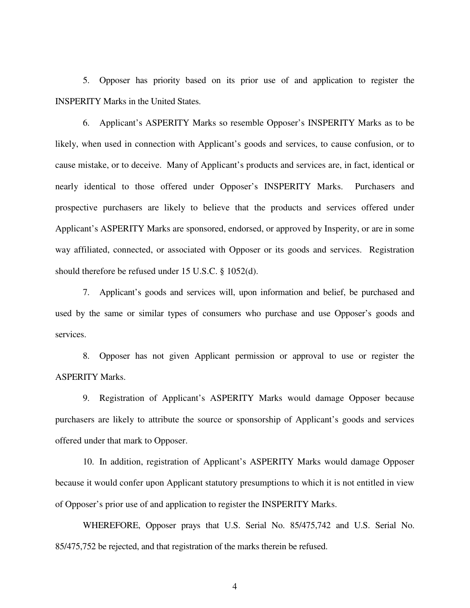5. Opposer has priority based on its prior use of and application to register the INSPERITY Marks in the United States.

6. Applicant's ASPERITY Marks so resemble Opposer's INSPERITY Marks as to be likely, when used in connection with Applicant's goods and services, to cause confusion, or to cause mistake, or to deceive. Many of Applicant's products and services are, in fact, identical or nearly identical to those offered under Opposer's INSPERITY Marks. Purchasers and prospective purchasers are likely to believe that the products and services offered under Applicant's ASPERITY Marks are sponsored, endorsed, or approved by Insperity, or are in some way affiliated, connected, or associated with Opposer or its goods and services. Registration should therefore be refused under 15 U.S.C. § 1052(d).

7. Applicant's goods and services will, upon information and belief, be purchased and used by the same or similar types of consumers who purchase and use Opposer's goods and services.

8. Opposer has not given Applicant permission or approval to use or register the ASPERITY Marks.

9. Registration of Applicant's ASPERITY Marks would damage Opposer because purchasers are likely to attribute the source or sponsorship of Applicant's goods and services offered under that mark to Opposer.

10. In addition, registration of Applicant's ASPERITY Marks would damage Opposer because it would confer upon Applicant statutory presumptions to which it is not entitled in view of Opposer's prior use of and application to register the INSPERITY Marks.

 WHEREFORE, Opposer prays that U.S. Serial No. 85/475,742 and U.S. Serial No. 85/475,752 be rejected, and that registration of the marks therein be refused.

4